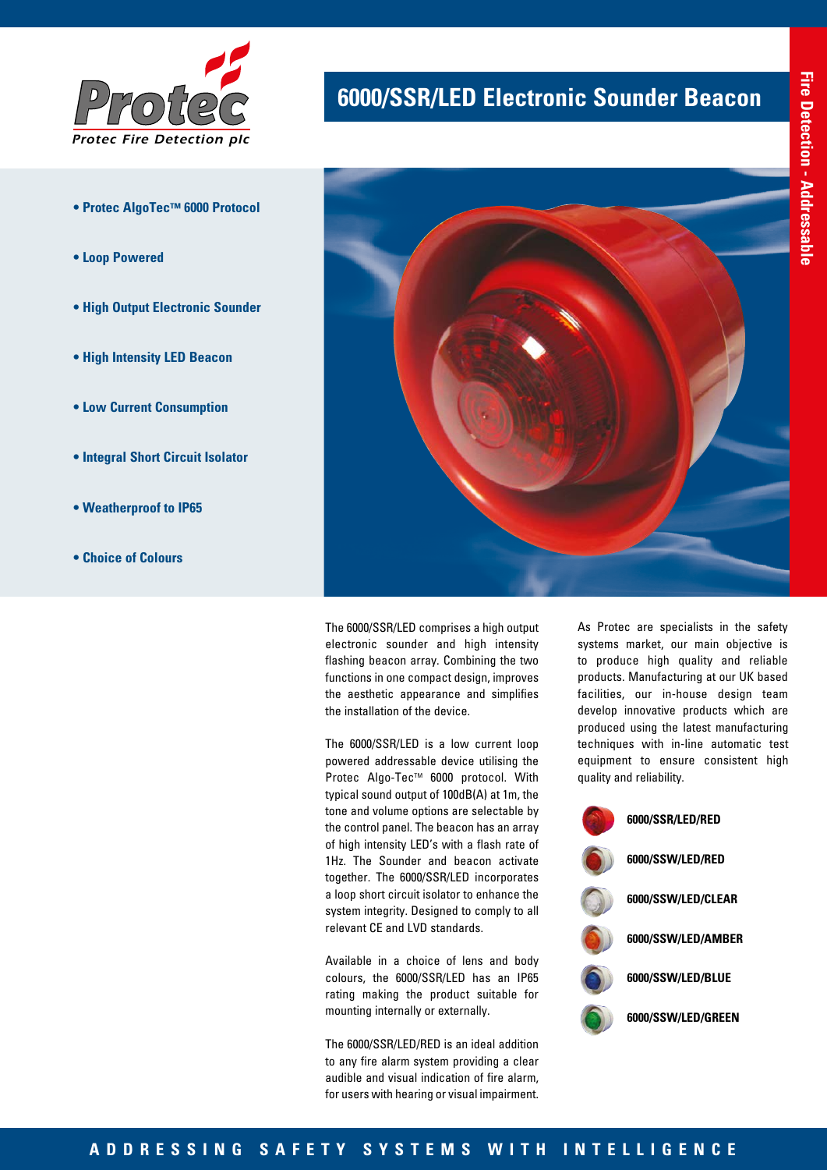

- **Protec AlgoTec™ 6000 Protocol**
- **Loop Powered**
- **High Output Electronic Sounder**
- **High Intensity LED Beacon**
- **Low Current Consumption**
- **Integral Short Circuit Isolator**
- **Weatherproof to IP65**
- **Choice of Colours**

# **6000/SSR/LED Electronic Sounder Beacon**



The 6000/SSR/LED comprises a high output electronic sounder and high intensity flashing beacon array. Combining the two functions in one compact design, improves the aesthetic appearance and simplifies the installation of the device.

The 6000/SSR/LED is a low current loop powered addressable device utilising the Protec Algo-Tec™ 6000 protocol. With typical sound output of 100dB(A) at 1m, the tone and volume options are selectable by the control panel. The beacon has an array of high intensity LED's with a flash rate of 1Hz. The Sounder and beacon activate together. The 6000/SSR/LED incorporates a loop short circuit isolator to enhance the system integrity. Designed to comply to all relevant CE and LVD standards.

Available in a choice of lens and body colours, the 6000/SSR/LED has an IP65 rating making the product suitable for mounting internally or externally.

The 6000/SSR/LED/RED is an ideal addition to any fire alarm system providing a clear audible and visual indication of fire alarm, for users with hearing or visual impairment.

As Protec are specialists in the safety systems market, our main objective is to produce high quality and reliable products. Manufacturing at our UK based facilities, our in-house design team develop innovative products which are produced using the latest manufacturing techniques with in-line automatic test equipment to ensure consistent high quality and reliability.